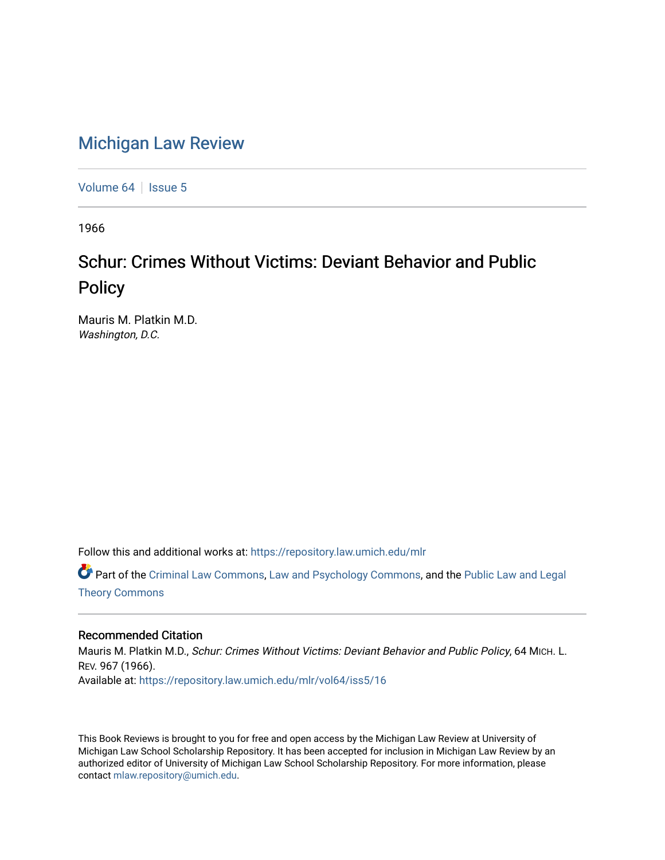## [Michigan Law Review](https://repository.law.umich.edu/mlr)

[Volume 64](https://repository.law.umich.edu/mlr/vol64) | [Issue 5](https://repository.law.umich.edu/mlr/vol64/iss5)

1966

## Schur: Crimes Without Victims: Deviant Behavior and Public **Policy**

Mauris M. Platkin M.D. Washington, D.C.

Follow this and additional works at: [https://repository.law.umich.edu/mlr](https://repository.law.umich.edu/mlr?utm_source=repository.law.umich.edu%2Fmlr%2Fvol64%2Fiss5%2F16&utm_medium=PDF&utm_campaign=PDFCoverPages) 

Part of the [Criminal Law Commons,](http://network.bepress.com/hgg/discipline/912?utm_source=repository.law.umich.edu%2Fmlr%2Fvol64%2Fiss5%2F16&utm_medium=PDF&utm_campaign=PDFCoverPages) [Law and Psychology Commons,](http://network.bepress.com/hgg/discipline/870?utm_source=repository.law.umich.edu%2Fmlr%2Fvol64%2Fiss5%2F16&utm_medium=PDF&utm_campaign=PDFCoverPages) and the [Public Law and Legal](http://network.bepress.com/hgg/discipline/871?utm_source=repository.law.umich.edu%2Fmlr%2Fvol64%2Fiss5%2F16&utm_medium=PDF&utm_campaign=PDFCoverPages)  [Theory Commons](http://network.bepress.com/hgg/discipline/871?utm_source=repository.law.umich.edu%2Fmlr%2Fvol64%2Fiss5%2F16&utm_medium=PDF&utm_campaign=PDFCoverPages)

## Recommended Citation

Mauris M. Platkin M.D., Schur: Crimes Without Victims: Deviant Behavior and Public Policy, 64 MICH. L. REV. 967 (1966). Available at: [https://repository.law.umich.edu/mlr/vol64/iss5/16](https://repository.law.umich.edu/mlr/vol64/iss5/16?utm_source=repository.law.umich.edu%2Fmlr%2Fvol64%2Fiss5%2F16&utm_medium=PDF&utm_campaign=PDFCoverPages) 

This Book Reviews is brought to you for free and open access by the Michigan Law Review at University of Michigan Law School Scholarship Repository. It has been accepted for inclusion in Michigan Law Review by an authorized editor of University of Michigan Law School Scholarship Repository. For more information, please contact [mlaw.repository@umich.edu](mailto:mlaw.repository@umich.edu).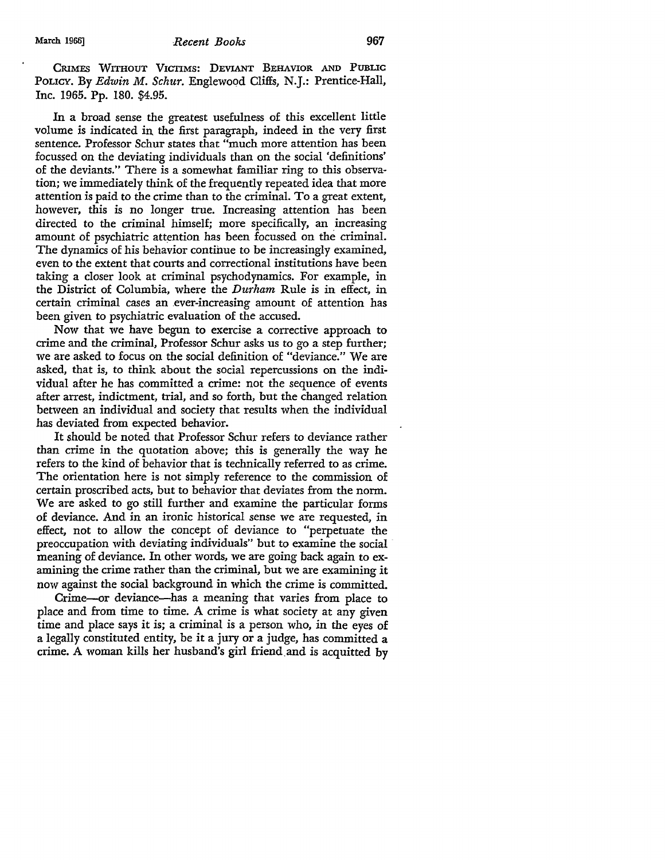CRIMES WITHOUT VICTIMS: DEVIANT BEHAVIOR AND PUBLIC POLICY. By *Edwin M. Schur.* Englewood Cliffs, N.J.: Prentice-Hall, Inc. 1965. Pp. 180. \$4.95.

In a broad sense the greatest usefulness of this excellent little volume is indicated in the first paragraph, indeed in the very first sentence. Professor Schur states that "much more attention has been focussed on the deviating individuals than on the social 'definitions' of the deviants." There is a somewhat familiar ring to this observation; we immediately think of the frequently repeated idea that more attention is paid to the crime than to the criminal. To a great extent, however, this is no longer true. Increasing attention has been directed to the criminal himself; more specifically, an increasing amount of psychiatric attention has been focussed on the criminal. The dynamics of his behavior continue to be increasingly examined, even to the extent that courts and correctional institutions have been taking a closer look at criminal psychodynamics. For example, in the District of Columbia, where the *Durham* Rule is in effect, in certain criminal cases an .ever-increasing amount of attention has been given to psychiatric evaluation of the accused.

Now that we have begun to exercise a corrective approach to crime and the criminal, Professor Schur asks us to go a step further; we are asked to focus on the social definition of "deviance." We are asked, that is, to think about the social repercussions on the individual after he has committed a crime: not the sequence of events after arrest, indictment, trial, and so forth, but the changed relation between an individual and society that results when the individual has deviated from expected behavior.

It should be noted that Professor Schur refers to deviance rather than crime in the quotation above; this is generally the way he refers to the kind of behavior that is technically referred to as crime. The orientation here is not simply reference to the commission of certain proscribed acts, but to behavior that deviates from the norm. We are asked to go still further and examine the particular forms of deviance. And in an ironic historical sense we are requested, in effect, not to allow the concept of deviance to "perpetuate the preoccupation with deviating individuals" but to examine the social meaning of deviance. In other words, we are going back again to examining the crime rather than the criminal, but we are examining it now against the social background in which the crime is committed.

Crime-or deviance-has a meaning that varies from place to place and from time to time. A crime is what society at any given time and place says it is; a criminal is a person who, in the eyes of a legally constituted entity, be it a jury or a judge, has committed a crime. A woman kills her husband's girl friend.and is acquitted by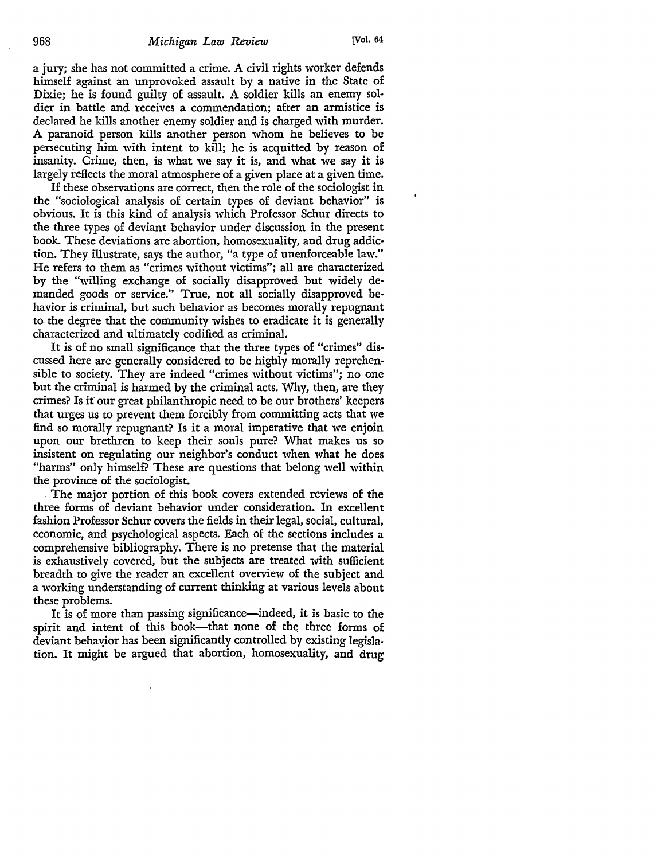a jury; she has not committed a crime. A civil rights worker defends himself against an unprovoked assault by a native in the State of Dixie; he is found guilty of assault. A soldier kills an enemy soldier in battle and receives a commendation; after an armistice is declared he kills another enemy soldier and is charged with murder. A paranoid person kills another person whom he believes to be persecuting him with intent to kill; he is acquitted by reason of insanity. Crime, then, is what we say it is, and what we say it is largely reflects the moral atmosphere of a given place at a given time.

If these observations are correct, then the role of the sociologist in the "sociological analysis of certain types of deviant behavior" is obvious. It is this kind of analysis which Professor Schur directs to the three types of deviant behavior under discussion in the present book. These deviations are abortion, homosexuality, and drug addiction. They illustrate, says the author, "a type of unenforceable law." He refers to them as "crimes without victims"; all are characterized by the "willing exchange of socially disapproved but widely demanded goods or service." True, not all socially disapproved behavior is criminal, but such behavior as becomes morally repugnant to the degree that the community wishes to eradicate it is generally characterized and ultimately codified as criminal.

It is of no small significance that the three types of "crimes" discussed here are generally considered to be highly morally reprehensible to society. They are indeed "crimes without victims"; no one but the criminal is harmed by the criminal acts. Why, then, are they crimes? Is it our great philanthropic need to be our brothers' keepers that urges us to prevent them forcibly from committing acts that we find so morally repugnant? Is it a moral imperative that we enjoin upon our brethren to keep their souls pure? What makes us so insistent on regulating our neighbor's conduct when what he does "harms" only himself? These are questions that belong well within the province of the sociologist.

The major portion of this book covers extended reviews of the three forms of deviant behavior under consideration. In excellent fashion Professor Schur covers the fields in their legal, social, cultural, economic, and psychological aspects. Each of the sections includes a comprehensive bibliography. There is no pretense that the material is exhaustively covered, but the subjects are treated with sufficient breadth to give the reader an excellent overview of the subject and a working understanding of current thinking at various levels about these problems.

It is of more than passing significance—indeed, it is basic to the spirit and intent of this book--that none of the three forms of deviant behavior has been significantly controlled by existing legislation. It might be argued that abortion, homosexuality, and drug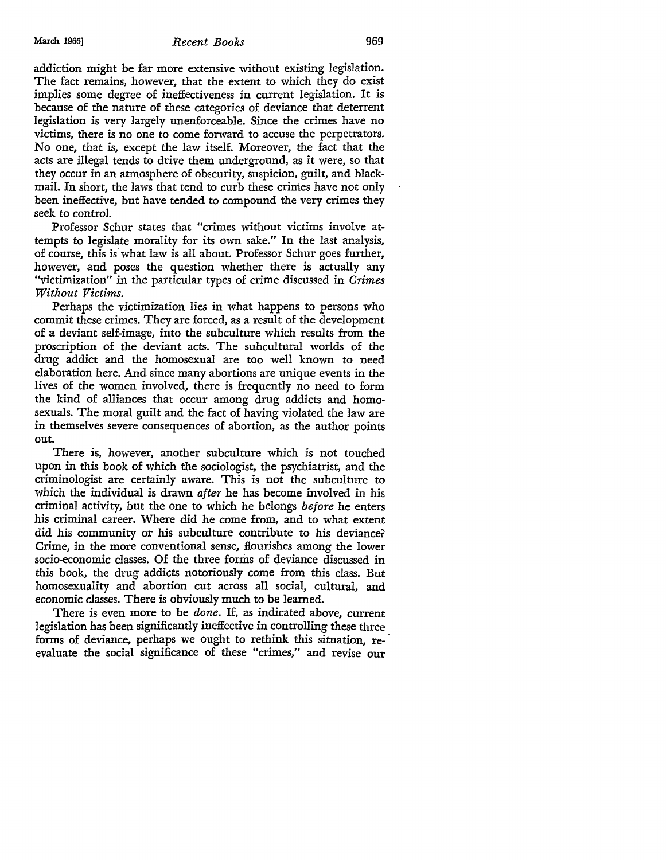## March 1966) *Recent Books* 969

addiction might be far more extensive without existing legislation. The fact remains, however, that the extent to which they do exist implies some degree of ineffectiveness in current legislation. It is because of the nature of these categories of deviance that deterrent legislation is very largely unenforceable. Since the crimes have no victims, there is no one to come fonvard to accuse the perpetrators. No one, that is, except the law itself. Moreover, the fact that the acts are illegal tends to drive them underground, as it were, so that they occur in an atmosphere of obscurity, suspicion, guilt, and blackmail. In short, the laws that tend to curb these crimes have not only been ineffective, but have tended to compound the very crimes they seek to control.

Professor Schur states that "crimes without victims involve attempts to legislate morality for its own sake." In the last analysis, of course, this is' what law is all about. Professor Schur goes further, however, and poses the question whether there is actually any "victimization" in the particular types of crime discussed in *Crimes Without Victims.* 

Perhaps the victimization lies in what happens to persons who commit these crimes. They are forced, as a result of the development of a deviant self-image, into the subculture which results from the proscription of the deviant acts. The subcultural worlds of the drug addict and the homosexual are too well known to need elaboration here. And since many abortions are unique events in the lives of the women involved, there is frequently no need to form the kind of alliances that occur among drug addicts and homosexuals. The moral guilt and the fact of having violated the law are in themselves severe consequences of abortion, as the author points out.

There is, however, another subculture which is not touched upon in this book of which the sociologist, the psychiatrist, and the criminologist are certainly aware. This is not the subculture to which the individual is drawn *after* he has become involved in his criminal activity, but the one to which he belongs *before* he enters his criminal career. Where did he come from, and to what extent did his community or his subculture contribute to his deviance? Crime, in the more conventional sense, flourishes among the lower socio-economic classes. Of the three forms of deviance discussed in this book, the drug addicts notoriously come from this class. But homosexuality and abortion cut across all social, cultural, and economic classes. There is obviously much to be learned.

There is even more to be *done.* If, as indicated above, current legislation has been significantly ineffective in controlling these three forms of deviance, perhaps we ought to rethink this situation, reevaluate the social significance of these "crimes," and revise our